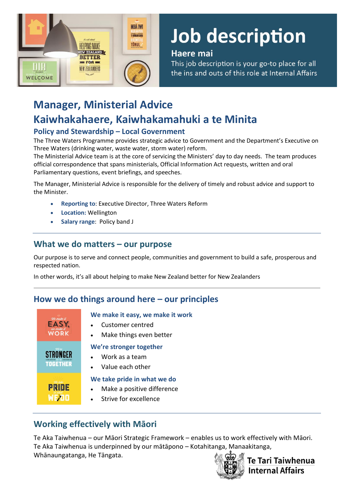

# Job description

## Haere mai

This job description is your go-to place for all the ins and outs of this role at Internal Affairs

## **Manager, Ministerial Advice Kaiwhakahaere, Kaiwhakamahuki a te Minita**

## **Policy and Stewardship – Local Government**

The Three Waters Programme provides strategic advice to Government and the Department's Executive on Three Waters (drinking water, waste water, storm water) reform.

The Ministerial Advice team is at the core of servicing the Ministers' day to day needs. The team produces official correspondence that spans ministerials, Official Information Act requests, written and oral Parliamentary questions, event briefings, and speeches.

The Manager, Ministerial Advice is responsible for the delivery of timely and robust advice and support to the Minister.

- **Reporting to**: Executive Director, Three Waters Reform
- **Location:** Wellington
- **Salary range**: Policy band J

## **What we do matters – our purpose**

Our purpose is to serve and connect people, communities and government to build a safe, prosperous and respected nation.

In other words, it's all about helping to make New Zealand better for New Zealanders

## **How we do things around here – our principles**



#### **We make it easy, we make it work**

- Customer centred
	- Make things even better

#### **We're stronger together**

- Work as a team
- Value each other

#### **We take pride in what we do**

- Make a positive difference
- Strive for excellence

## **Working effectively with Māori**

Te Aka Taiwhenua – our Māori Strategic Framework – enables us to work effectively with Māori. Te Aka Taiwhenua is underpinned by our mātāpono – Kotahitanga, Manaakitanga, Whānaungatanga, He Tāngata.



**Te Tari Taiwhenua Internal Affairs**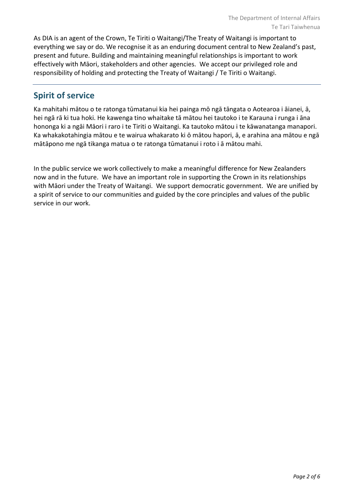As DIA is an agent of the Crown, Te Tiriti o Waitangi/The Treaty of Waitangi is important to everything we say or do. We recognise it as an enduring document central to New Zealand's past, present and future. Building and maintaining meaningful relationships is important to work effectively with Māori, stakeholders and other agencies. We accept our privileged role and responsibility of holding and protecting the Treaty of Waitangi / Te Tiriti o Waitangi.

## **Spirit of service**

Ka mahitahi mātou o te ratonga tūmatanui kia hei painga mō ngā tāngata o Aotearoa i āianei, ā, hei ngā rā ki tua hoki. He kawenga tino whaitake tā mātou hei tautoko i te Karauna i runga i āna hononga ki a ngāi Māori i raro i te Tiriti o Waitangi. Ka tautoko mātou i te kāwanatanga manapori. Ka whakakotahingia mātou e te wairua whakarato ki ō mātou hapori, ā, e arahina ana mātou e ngā mātāpono me ngā tikanga matua o te ratonga tūmatanui i roto i ā mātou mahi.

In the public service we work collectively to make a meaningful difference for New Zealanders now and in the future. We have an important role in supporting the Crown in its relationships with Māori under the Treaty of Waitangi.  We support democratic government. We are unified by a spirit of service to our communities and guided by the core principles and values of the public service in our work.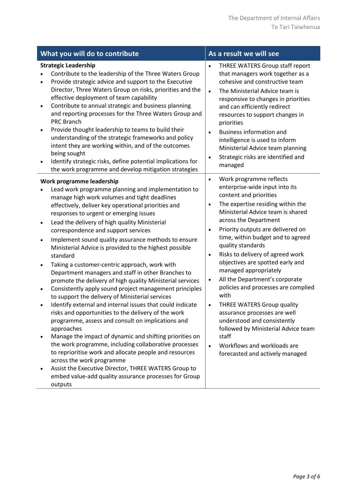| What you will do to contribute                                                                                                                                                                                                                                                                                                                                                                                                                                                                                                                                                                                                                                                                                                                                                                                                                                                                                                                                                                                                                                                                                                                        | As a result we will see                                                                                                                                                                                                                                                                                                                                                                                                                                                                                                                                                                                                                                                                                                                                                                  |  |  |  |  |
|-------------------------------------------------------------------------------------------------------------------------------------------------------------------------------------------------------------------------------------------------------------------------------------------------------------------------------------------------------------------------------------------------------------------------------------------------------------------------------------------------------------------------------------------------------------------------------------------------------------------------------------------------------------------------------------------------------------------------------------------------------------------------------------------------------------------------------------------------------------------------------------------------------------------------------------------------------------------------------------------------------------------------------------------------------------------------------------------------------------------------------------------------------|------------------------------------------------------------------------------------------------------------------------------------------------------------------------------------------------------------------------------------------------------------------------------------------------------------------------------------------------------------------------------------------------------------------------------------------------------------------------------------------------------------------------------------------------------------------------------------------------------------------------------------------------------------------------------------------------------------------------------------------------------------------------------------------|--|--|--|--|
| <b>Strategic Leadership</b><br>Contribute to the leadership of the Three Waters Group<br>Provide strategic advice and support to the Executive<br>$\bullet$<br>Director, Three Waters Group on risks, priorities and the<br>effective deployment of team capability<br>Contribute to annual strategic and business planning<br>and reporting processes for the Three Waters Group and<br><b>PRC Branch</b><br>Provide thought leadership to teams to build their<br>understanding of the strategic frameworks and policy<br>intent they are working within, and of the outcomes<br>being sought<br>Identify strategic risks, define potential implications for<br>the work programme and develop mitigation strategies                                                                                                                                                                                                                                                                                                                                                                                                                                | THREE WATERS Group staff report<br>that managers work together as a<br>cohesive and constructive team<br>The Ministerial Advice team is<br>$\bullet$<br>responsive to changes in priorities<br>and can efficiently redirect<br>resources to support changes in<br>priorities<br><b>Business information and</b><br>$\bullet$<br>intelligence is used to inform<br>Ministerial Advice team planning<br>Strategic risks are identified and<br>$\bullet$<br>managed                                                                                                                                                                                                                                                                                                                         |  |  |  |  |
| Work programme leadership<br>Lead work programme planning and implementation to<br>manage high work volumes and tight deadlines<br>effectively, deliver key operational priorities and<br>responses to urgent or emerging issues<br>Lead the delivery of high quality Ministerial<br>$\bullet$<br>correspondence and support services<br>Implement sound quality assurance methods to ensure<br>Ministerial Advice is provided to the highest possible<br>standard<br>Taking a customer-centric approach, work with<br>Department managers and staff in other Branches to<br>promote the delivery of high quality Ministerial services<br>Consistently apply sound project management principles<br>to support the delivery of Ministerial services<br>Identify external and internal issues that could indicate<br>risks and opportunities to the delivery of the work<br>programme, assess and consult on implications and<br>approaches<br>Manage the impact of dynamic and shifting priorities on<br>the work programme, including collaborative processes<br>to reprioritise work and allocate people and resources<br>across the work programme | Work programme reflects<br>$\bullet$<br>enterprise-wide input into its<br>content and priorities<br>The expertise residing within the<br>$\bullet$<br>Ministerial Advice team is shared<br>across the Department<br>Priority outputs are delivered on<br>$\bullet$<br>time, within budget and to agreed<br>quality standards<br>Risks to delivery of agreed work<br>$\bullet$<br>objectives are spotted early and<br>managed appropriately<br>All the Department's corporate<br>$\bullet$<br>policies and processes are complied<br>with<br><b>THREE WATERS Group quality</b><br>$\bullet$<br>assurance processes are well<br>understood and consistently<br>followed by Ministerial Advice team<br>staff<br>Workflows and workloads are<br>$\bullet$<br>forecasted and actively managed |  |  |  |  |
| Assist the Executive Director, THREE WATERS Group to<br>embed value-add quality assurance processes for Group<br>outputs                                                                                                                                                                                                                                                                                                                                                                                                                                                                                                                                                                                                                                                                                                                                                                                                                                                                                                                                                                                                                              |                                                                                                                                                                                                                                                                                                                                                                                                                                                                                                                                                                                                                                                                                                                                                                                          |  |  |  |  |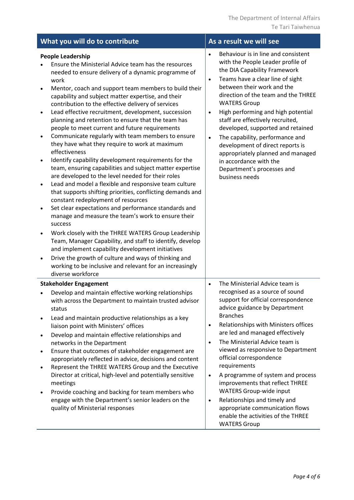| What you will do to contribute                                                                                                                                                                                                                                                                                                                                                                                                                                                                                                                                                                                                                                                                                                                                                                                                                                                                                                                                                                                                                                                                                                                                                                                                                                                                                                                                                                                                                                           | As a result we will see                                                                                                                                                                                                                                                                                                                                                                                                                                                                                                                                                              |
|--------------------------------------------------------------------------------------------------------------------------------------------------------------------------------------------------------------------------------------------------------------------------------------------------------------------------------------------------------------------------------------------------------------------------------------------------------------------------------------------------------------------------------------------------------------------------------------------------------------------------------------------------------------------------------------------------------------------------------------------------------------------------------------------------------------------------------------------------------------------------------------------------------------------------------------------------------------------------------------------------------------------------------------------------------------------------------------------------------------------------------------------------------------------------------------------------------------------------------------------------------------------------------------------------------------------------------------------------------------------------------------------------------------------------------------------------------------------------|--------------------------------------------------------------------------------------------------------------------------------------------------------------------------------------------------------------------------------------------------------------------------------------------------------------------------------------------------------------------------------------------------------------------------------------------------------------------------------------------------------------------------------------------------------------------------------------|
| <b>People Leadership</b><br>Ensure the Ministerial Advice team has the resources<br>needed to ensure delivery of a dynamic programme of<br>work<br>Mentor, coach and support team members to build their<br>$\bullet$<br>capability and subject matter expertise, and their<br>contribution to the effective delivery of services<br>Lead effective recruitment, development, succession<br>$\bullet$<br>planning and retention to ensure that the team has<br>people to meet current and future requirements<br>Communicate regularly with team members to ensure<br>$\bullet$<br>they have what they require to work at maximum<br>effectiveness<br>Identify capability development requirements for the<br>team, ensuring capabilities and subject matter expertise<br>are developed to the level needed for their roles<br>Lead and model a flexible and responsive team culture<br>$\bullet$<br>that supports shifting priorities, conflicting demands and<br>constant redeployment of resources<br>Set clear expectations and performance standards and<br>$\bullet$<br>manage and measure the team's work to ensure their<br>success<br>Work closely with the THREE WATERS Group Leadership<br>Team, Manager Capability, and staff to identify, develop<br>and implement capability development initiatives<br>Drive the growth of culture and ways of thinking and<br>$\bullet$<br>working to be inclusive and relevant for an increasingly<br>diverse workforce | Behaviour is in line and consistent<br>with the People Leader profile of<br>the DIA Capability Framework<br>Teams have a clear line of sight<br>$\bullet$<br>between their work and the<br>direction of the team and the THREE<br><b>WATERS Group</b><br>High performing and high potential<br>$\bullet$<br>staff are effectively recruited,<br>developed, supported and retained<br>The capability, performance and<br>$\bullet$<br>development of direct reports is<br>appropriately planned and managed<br>in accordance with the<br>Department's processes and<br>business needs |
| <b>Stakeholder Engagement</b><br>Develop and maintain effective working relationships                                                                                                                                                                                                                                                                                                                                                                                                                                                                                                                                                                                                                                                                                                                                                                                                                                                                                                                                                                                                                                                                                                                                                                                                                                                                                                                                                                                    | The Ministerial Advice team is<br>$\bullet$<br>recognised as a source of sound                                                                                                                                                                                                                                                                                                                                                                                                                                                                                                       |
| with across the Department to maintain trusted advisor<br>status<br>Lead and maintain productive relationships as a key                                                                                                                                                                                                                                                                                                                                                                                                                                                                                                                                                                                                                                                                                                                                                                                                                                                                                                                                                                                                                                                                                                                                                                                                                                                                                                                                                  | support for official correspondence<br>advice guidance by Department<br><b>Branches</b>                                                                                                                                                                                                                                                                                                                                                                                                                                                                                              |
| liaison point with Ministers' offices<br>Develop and maintain effective relationships and<br>$\bullet$                                                                                                                                                                                                                                                                                                                                                                                                                                                                                                                                                                                                                                                                                                                                                                                                                                                                                                                                                                                                                                                                                                                                                                                                                                                                                                                                                                   | Relationships with Ministers offices<br>$\bullet$<br>are led and managed effectively                                                                                                                                                                                                                                                                                                                                                                                                                                                                                                 |
| networks in the Department<br>Ensure that outcomes of stakeholder engagement are<br>$\bullet$                                                                                                                                                                                                                                                                                                                                                                                                                                                                                                                                                                                                                                                                                                                                                                                                                                                                                                                                                                                                                                                                                                                                                                                                                                                                                                                                                                            | The Ministerial Advice team is<br>$\bullet$<br>viewed as responsive to Department                                                                                                                                                                                                                                                                                                                                                                                                                                                                                                    |
| appropriately reflected in advice, decisions and content<br>Represent the THREE WATERS Group and the Executive<br>$\bullet$                                                                                                                                                                                                                                                                                                                                                                                                                                                                                                                                                                                                                                                                                                                                                                                                                                                                                                                                                                                                                                                                                                                                                                                                                                                                                                                                              | official correspondence<br>requirements                                                                                                                                                                                                                                                                                                                                                                                                                                                                                                                                              |
| Director at critical, high-level and potentially sensitive<br>meetings<br>Provide coaching and backing for team members who<br>٠                                                                                                                                                                                                                                                                                                                                                                                                                                                                                                                                                                                                                                                                                                                                                                                                                                                                                                                                                                                                                                                                                                                                                                                                                                                                                                                                         | A programme of system and process<br>$\bullet$<br>improvements that reflect THREE<br><b>WATERS Group-wide input</b>                                                                                                                                                                                                                                                                                                                                                                                                                                                                  |
| engage with the Department's senior leaders on the<br>quality of Ministerial responses                                                                                                                                                                                                                                                                                                                                                                                                                                                                                                                                                                                                                                                                                                                                                                                                                                                                                                                                                                                                                                                                                                                                                                                                                                                                                                                                                                                   | Relationships and timely and<br>$\bullet$<br>appropriate communication flows<br>enable the activities of the THREE<br><b>WATERS Group</b>                                                                                                                                                                                                                                                                                                                                                                                                                                            |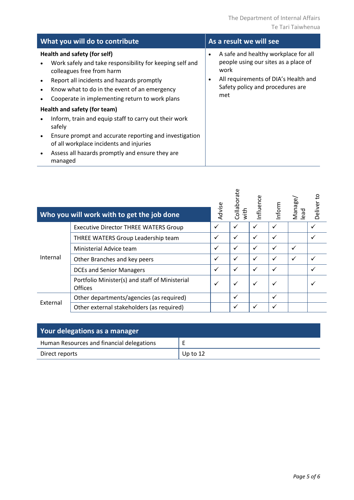| What you will do to contribute                                                                                                                                                                                                                                                                 | As a result we will see                                                                                                                                                                   |  |  |  |
|------------------------------------------------------------------------------------------------------------------------------------------------------------------------------------------------------------------------------------------------------------------------------------------------|-------------------------------------------------------------------------------------------------------------------------------------------------------------------------------------------|--|--|--|
| Health and safety (for self)<br>Work safely and take responsibility for keeping self and<br>colleagues free from harm<br>Report all incidents and hazards promptly<br>$\bullet$<br>Know what to do in the event of an emergency<br>$\bullet$<br>Cooperate in implementing return to work plans | A safe and healthy workplace for all<br>$\bullet$<br>people using our sites as a place of<br>work<br>All requirements of DIA's Health and<br>٠<br>Safety policy and procedures are<br>met |  |  |  |
| Health and safety (for team)                                                                                                                                                                                                                                                                   |                                                                                                                                                                                           |  |  |  |
| Inform, train and equip staff to carry out their work<br>safely                                                                                                                                                                                                                                |                                                                                                                                                                                           |  |  |  |
| Ensure prompt and accurate reporting and investigation<br>$\bullet$<br>of all workplace incidents and injuries                                                                                                                                                                                 |                                                                                                                                                                                           |  |  |  |
| Assess all hazards promptly and ensure they are<br>managed                                                                                                                                                                                                                                     |                                                                                                                                                                                           |  |  |  |

|          | Who you will work with to get the job done                       | Advise       | Collaborate<br>with | nfluence     | nform | Manage/<br>lead | Deliver to |
|----------|------------------------------------------------------------------|--------------|---------------------|--------------|-------|-----------------|------------|
| Internal | <b>Executive Director THREE WATERS Group</b>                     | ✓            |                     |              |       |                 |            |
|          | THREE WATERS Group Leadership team                               | $\checkmark$ | $\checkmark$        | $\checkmark$ |       |                 |            |
|          | Ministerial Advice team                                          | $\checkmark$ | $\checkmark$        | ✓            | ✓     | ✓               |            |
|          | Other Branches and key peers                                     | $\checkmark$ | $\checkmark$        | $\checkmark$ |       | ✓               |            |
|          | <b>DCEs and Senior Managers</b>                                  | $\checkmark$ | $\checkmark$        | ✓            |       |                 |            |
|          | Portfolio Minister(s) and staff of Ministerial<br><b>Offices</b> | $\checkmark$ | $\checkmark$        | $\checkmark$ |       |                 |            |
| External | Other departments/agencies (as required)                         |              | ✓                   |              |       |                 |            |
|          | Other external stakeholders (as required)                        |              | ✓                   |              |       |                 |            |

| Your delegations as a manager             |          |  |
|-------------------------------------------|----------|--|
| Human Resources and financial delegations |          |  |
| Direct reports                            | Up to 12 |  |